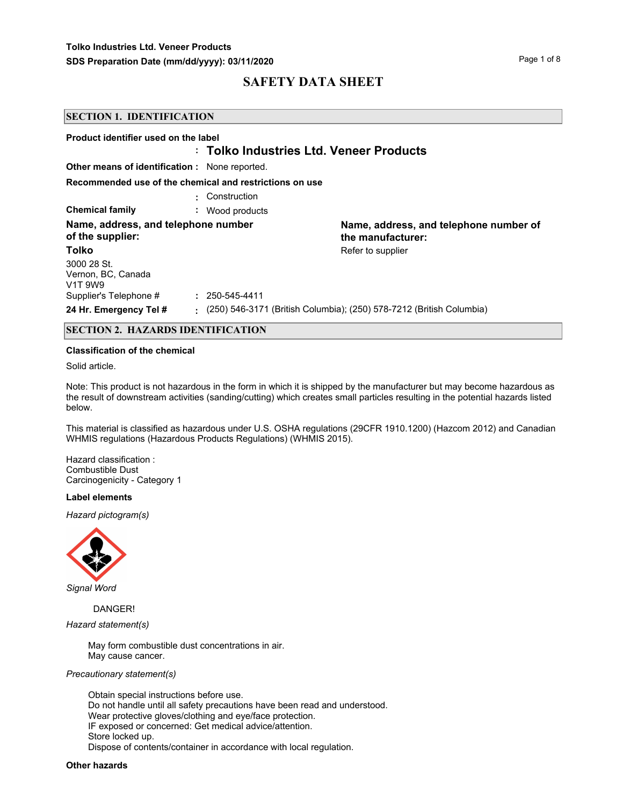| <b>SECTION 1. IDENTIFICATION</b>                                      |                                                         |                                                                      |
|-----------------------------------------------------------------------|---------------------------------------------------------|----------------------------------------------------------------------|
| Product identifier used on the label                                  | : Tolko Industries Ltd. Veneer Products                 |                                                                      |
| <b>Other means of identification:</b> None reported.                  |                                                         |                                                                      |
|                                                                       | Recommended use of the chemical and restrictions on use |                                                                      |
|                                                                       | Construction                                            |                                                                      |
| <b>Chemical family</b>                                                | Wood products                                           |                                                                      |
| Name, address, and telephone number<br>of the supplier:               |                                                         | Name, address, and telephone number of<br>the manufacturer:          |
| Tolko                                                                 |                                                         | Refer to supplier                                                    |
| 3000 28 St.<br>Vernon, BC, Canada<br>V <sub>1</sub> T 9W <sub>9</sub> |                                                         |                                                                      |
| Supplier's Telephone #                                                | $: 250 - 545 - 4411$                                    |                                                                      |
| 24 Hr. Emergency Tel #                                                | ۰.                                                      | (250) 546-3171 (British Columbia); (250) 578-7212 (British Columbia) |

### **SECTION 2. HAZARDS IDENTIFICATION**

#### **Classification of the chemical**

Solid article.

Note: This product is not hazardous in the form in which it is shipped by the manufacturer but may become hazardous as the result of downstream activities (sanding/cutting) which creates small particles resulting in the potential hazards listed below.

This material is classified as hazardous under U.S. OSHA regulations (29CFR 1910.1200) (Hazcom 2012) and Canadian WHMIS regulations (Hazardous Products Regulations) (WHMIS 2015).

Hazard classification : Combustible Dust Carcinogenicity - Category 1

#### **Label elements**

*Hazard pictogram(s)*



*Signal Word*

DANGER!

*Hazard statement(s)*

May form combustible dust concentrations in air. May cause cancer.

#### *Precautionary statement(s)*

Obtain special instructions before use. Do not handle until all safety precautions have been read and understood. Wear protective gloves/clothing and eye/face protection. IF exposed or concerned: Get medical advice/attention. Store locked up. Dispose of contents/container in accordance with local regulation.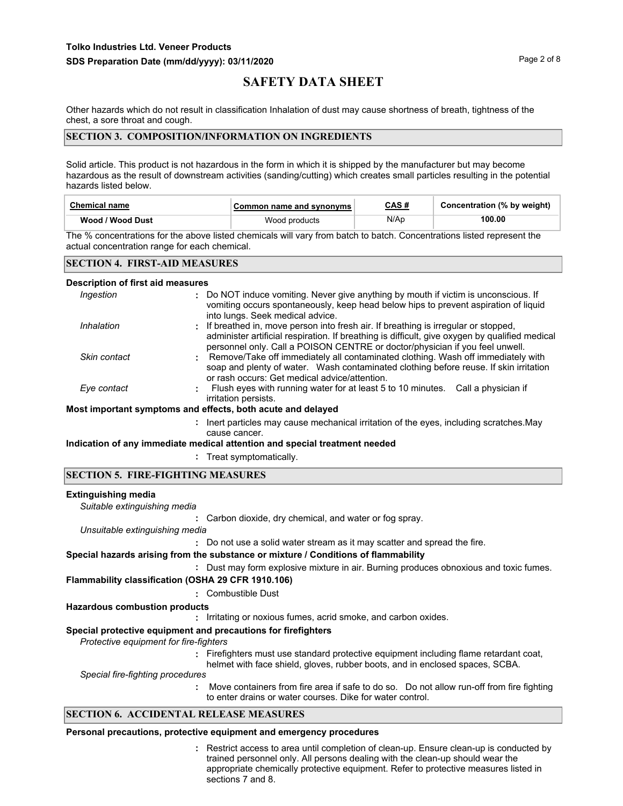Other hazards which do not result in classification Inhalation of dust may cause shortness of breath, tightness of the chest, a sore throat and cough.

### **SECTION 3. COMPOSITION/INFORMATION ON INGREDIENTS**

Solid article. This product is not hazardous in the form in which it is shipped by the manufacturer but may become hazardous as the result of downstream activities (sanding/cutting) which creates small particles resulting in the potential hazards listed below.

| <b>Chemical name</b> | Common name and synonyms | CAS#<br><u> The Communication of the Communication of the Communication of the Communication of the Communication of the Communication of the Communication of the Communication of the Communication of the Communication of the Commun</u> | Concentration (% by weight) |
|----------------------|--------------------------|----------------------------------------------------------------------------------------------------------------------------------------------------------------------------------------------------------------------------------------------|-----------------------------|
| Wood / Wood Dust     | Wood products            | N/Ap                                                                                                                                                                                                                                         | 100.00                      |

The % concentrations for the above listed chemicals will vary from batch to batch. Concentrations listed represent the actual concentration range for each chemical.

### **SECTION 4. FIRST-AID MEASURES**

#### **Description of first aid measures**

| Ingestion    | : Do NOT induce vomiting. Never give anything by mouth if victim is unconscious. If<br>vomiting occurs spontaneously, keep head below hips to prevent aspiration of liquid<br>into lungs. Seek medical advice.                                                        |
|--------------|-----------------------------------------------------------------------------------------------------------------------------------------------------------------------------------------------------------------------------------------------------------------------|
| Inhalation   | : If breathed in, move person into fresh air. If breathing is irregular or stopped,<br>administer artificial respiration. If breathing is difficult, give oxygen by qualified medical<br>personnel only. Call a POISON CENTRE or doctor/physician if you feel unwell. |
| Skin contact | Remove/Take off immediately all contaminated clothing. Wash off immediately with<br>soap and plenty of water. Wash contaminated clothing before reuse. If skin irritation<br>or rash occurs: Get medical advice/attention.                                            |
| Eye contact  | Flush eyes with running water for at least 5 to 10 minutes. Call a physician if<br>irritation persists.                                                                                                                                                               |
|              | Most important symptoms and effects, both acute and delayed                                                                                                                                                                                                           |
|              | : Inert particles may cause mechanical irritation of the eyes, including scratches. May                                                                                                                                                                               |
|              |                                                                                                                                                                                                                                                                       |

# cause cancer.

**Indication of any immediate medical attention and special treatment needed**

**:** Treat symptomatically.

#### **SECTION 5. FIRE-FIGHTING MEASURES**

#### **Extinguishing media**

**:** Carbon dioxide, dry chemical, and water or fog spray. *Suitable extinguishing media*

*Unsuitable extinguishing media*

**:** Do not use a solid water stream as it may scatter and spread the fire.

### **Special hazards arising from the substance or mixture / Conditions of flammability**

**:** Dust may form explosive mixture in air. Burning produces obnoxious and toxic fumes.

**Flammability classification (OSHA 29 CFR 1910.106)**

**:** Combustible Dust

## **Hazardous combustion products**

**:** Irritating or noxious fumes, acrid smoke, and carbon oxides.

## **Special protective equipment and precautions for firefighters**

*Protective equipment for fire-fighters*

**:** Firefighters must use standard protective equipment including flame retardant coat, helmet with face shield, gloves, rubber boots, and in enclosed spaces, SCBA.

*Special fire-fighting procedures*

**:** Move containers from fire area if safe to do so. Do not allow run-off from fire fighting to enter drains or water courses. Dike for water control.

## **SECTION 6. ACCIDENTAL RELEASE MEASURES**

### **Personal precautions, protective equipment and emergency procedures**

Restrict access to area until completion of clean-up. Ensure clean-up is conducted by **:** trained personnel only. All persons dealing with the clean-up should wear the appropriate chemically protective equipment. Refer to protective measures listed in sections 7 and 8.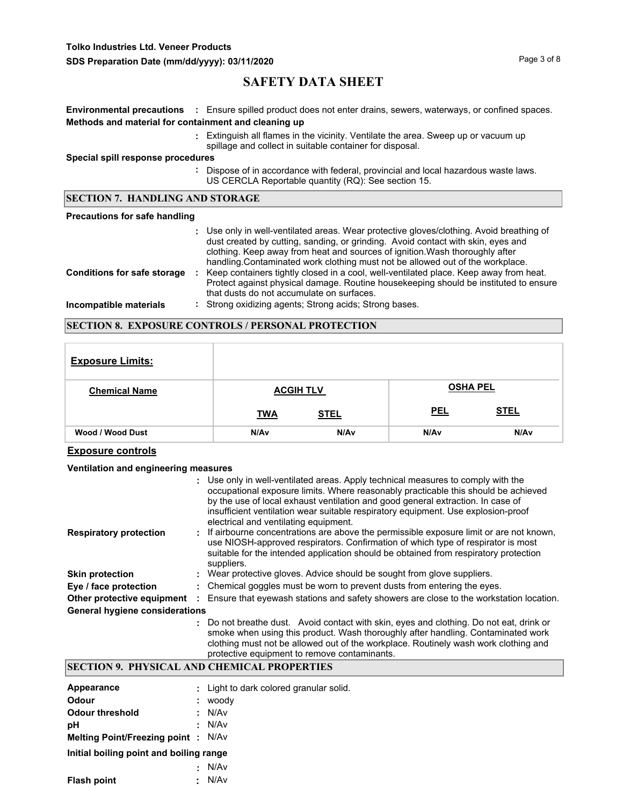**Tolko Industries Ltd. Veneer Products**

**SDS Preparation Date (mm/dd/yyyy): 03/11/2020 Page 3 of 8** Page 3 of 8

# **SAFETY DATA SHEET**

|                                                      | <b>Environmental precautions</b> : Ensure spilled product does not enter drains, sewers, waterways, or confined spaces.                                                                                                                                                                                                                        |  |
|------------------------------------------------------|------------------------------------------------------------------------------------------------------------------------------------------------------------------------------------------------------------------------------------------------------------------------------------------------------------------------------------------------|--|
| Methods and material for containment and cleaning up |                                                                                                                                                                                                                                                                                                                                                |  |
|                                                      | : Extinguish all flames in the vicinity. Ventilate the area. Sweep up or vacuum up<br>spillage and collect in suitable container for disposal.                                                                                                                                                                                                 |  |
| Special spill response procedures                    |                                                                                                                                                                                                                                                                                                                                                |  |
|                                                      | Dispose of in accordance with federal, provincial and local hazardous waste laws.<br>US CERCLA Reportable quantity (RQ): See section 15.                                                                                                                                                                                                       |  |
| <b>SECTION 7. HANDLING AND STORAGE</b>               |                                                                                                                                                                                                                                                                                                                                                |  |
|                                                      |                                                                                                                                                                                                                                                                                                                                                |  |
| <b>Precautions for safe handling</b>                 |                                                                                                                                                                                                                                                                                                                                                |  |
|                                                      | : Use only in well-ventilated areas. Wear protective gloves/clothing. Avoid breathing of<br>dust created by cutting, sanding, or grinding. Avoid contact with skin, eyes and<br>clothing. Keep away from heat and sources of ignition. Wash thoroughly after<br>handling. Contaminated work clothing must not be allowed out of the workplace. |  |
| <b>Conditions for safe storage</b>                   | Keep containers tightly closed in a cool, well-ventilated place. Keep away from heat.<br>÷.<br>Protect against physical damage. Routine housekeeping should be instituted to ensure<br>that dusts do not accumulate on surfaces.                                                                                                               |  |

### **SECTION 8. EXPOSURE CONTROLS / PERSONAL PROTECTION**

| <b>Exposure Limits:</b> |            |                  |            |                  |
|-------------------------|------------|------------------|------------|------------------|
| <b>Chemical Name</b>    |            | <b>ACGIH TLV</b> |            | <b>OSHA PEL</b>  |
|                         | <b>TWA</b> | <b>STEL</b>      | <b>PEL</b> | <b>STEL</b>      |
| Wood / Wood Dust        | N/Av       | N/A <sub>v</sub> | N/Av       | N/A <sub>v</sub> |

## **Exposure controls**

### **Ventilation and engineering measures**

|                                       | : Use only in well-ventilated areas. Apply technical measures to comply with the<br>occupational exposure limits. Where reasonably practicable this should be achieved<br>by the use of local exhaust ventilation and good general extraction. In case of<br>insufficient ventilation wear suitable respiratory equipment. Use explosion-proof<br>electrical and ventilating equipment. |
|---------------------------------------|-----------------------------------------------------------------------------------------------------------------------------------------------------------------------------------------------------------------------------------------------------------------------------------------------------------------------------------------------------------------------------------------|
| <b>Respiratory protection</b>         | : If airbourne concentrations are above the permissible exposure limit or are not known,<br>use NIOSH-approved respirators. Confirmation of which type of respirator is most<br>suitable for the intended application should be obtained from respiratory protection<br>suppliers.                                                                                                      |
| <b>Skin protection</b>                | : Wear protective gloves. Advice should be sought from glove suppliers.                                                                                                                                                                                                                                                                                                                 |
| Eye / face protection                 | : Chemical goggles must be worn to prevent dusts from entering the eyes.                                                                                                                                                                                                                                                                                                                |
| Other protective equipment            | Ensure that eyewash stations and safety showers are close to the workstation location.                                                                                                                                                                                                                                                                                                  |
| <b>General hygiene considerations</b> |                                                                                                                                                                                                                                                                                                                                                                                         |
|                                       | : Do not breathe dust. Avoid contact with skin, eyes and clothing. Do not eat, drink or<br>smoke when using this product. Wash thoroughly after handling. Contaminated work                                                                                                                                                                                                             |

# clothing must not be allowed out of the workplace. Routinely wash work clothing and protective equipment to remove contaminants.

# **SECTION 9. PHYSICAL AND CHEMICAL PROPERTIES**

| Appearance                                |    | : Light to dark colored granular solid. |
|-------------------------------------------|----|-----------------------------------------|
| Odour                                     | ÷. | woody                                   |
| Odour threshold                           |    | : N/Av                                  |
| рH                                        |    | : N/Av                                  |
| <b>Melting Point/Freezing point: N/Av</b> |    |                                         |
| Initial boiling point and boiling range   |    |                                         |
|                                           | х. | N/Av                                    |
| <b>Flash point</b>                        | ÷. | N/Av                                    |
|                                           |    |                                         |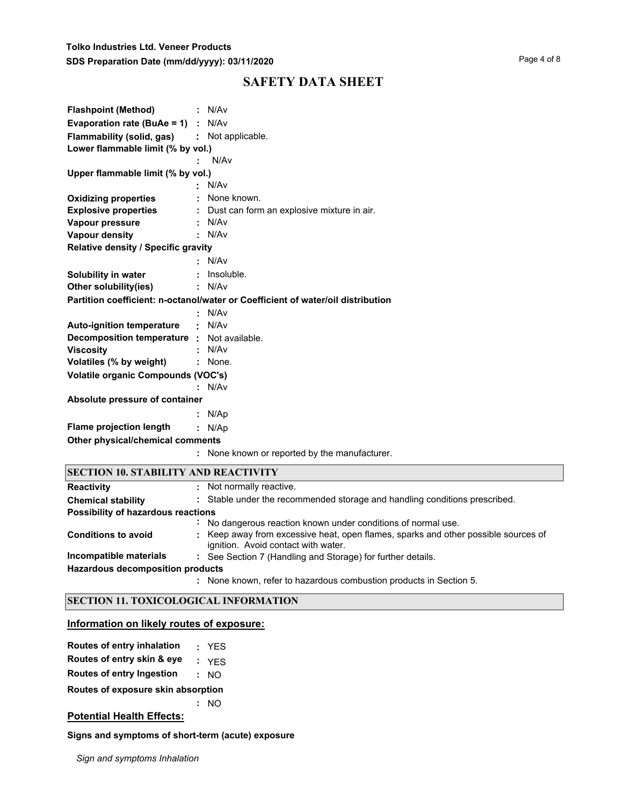| <b>Flashpoint (Method)</b>                  | N/Av                                                                            |
|---------------------------------------------|---------------------------------------------------------------------------------|
| <b>Evaporation rate (BuAe = 1)</b> : $N/Av$ |                                                                                 |
| Flammability (solid, gas)                   | : Not applicable.                                                               |
| Lower flammable limit (% by vol.)           |                                                                                 |
|                                             | N/Av                                                                            |
| Upper flammable limit (% by vol.)           |                                                                                 |
|                                             | N/Av                                                                            |
| <b>Oxidizing properties</b>                 | None known.                                                                     |
| <b>Explosive properties</b>                 | Dust can form an explosive mixture in air.                                      |
| Vapour pressure                             | N/Av                                                                            |
| <b>Vapour density</b>                       | N/Av                                                                            |
| Relative density / Specific gravity         |                                                                                 |
|                                             | N/Av                                                                            |
| Solubility in water                         | Insoluble.                                                                      |
| Other solubility(ies)                       | N/Av                                                                            |
|                                             | Partition coefficient: n-octanol/water or Coefficient of water/oil distribution |
|                                             | N/Av                                                                            |
| <b>Auto-ignition temperature</b>            | N/Av                                                                            |
| Decomposition temperature : Not available.  |                                                                                 |
| <b>Viscosity</b>                            | N/Av                                                                            |
| Volatiles (% by weight)                     | None.                                                                           |
| Volatile organic Compounds (VOC's)          |                                                                                 |
|                                             | N/Av                                                                            |
| Absolute pressure of container              |                                                                                 |
|                                             | N/Ap                                                                            |
| <b>Flame projection length</b>              | : N/Ap                                                                          |
| Other physical/chemical comments            |                                                                                 |
|                                             | None known or reported by the manufacturer.                                     |
|                                             |                                                                                 |
| <b>SECTION 10. STABILITY AND REACTIVITY</b> |                                                                                 |
| <b>Reactivity</b>                           | Not normally reactive.                                                          |
| <b>Chemical stability</b>                   | : Stable under the recommended storage and handling conditions prescribed.      |
| Possibility of hazardous reactions          |                                                                                 |

| Possibility of hazardous reactions |    |                                                                                                                           |  |  |
|------------------------------------|----|---------------------------------------------------------------------------------------------------------------------------|--|--|
|                                    | ÷. | No dangerous reaction known under conditions of normal use.                                                               |  |  |
| <b>Conditions to avoid</b>         |    | : Keep away from excessive heat, open flames, sparks and other possible sources of<br>ignition. Avoid contact with water. |  |  |
| Incompatible materials             |    | : See Section 7 (Handling and Storage) for further details.                                                               |  |  |
| Hazardous decomposition products   |    |                                                                                                                           |  |  |
|                                    |    | : None known, refer to hazardous combustion products in Section 5.                                                        |  |  |

## **SECTION 11. TOXICOLOGICAL INFORMATION**

# **Information on likely routes of exposure:**

| Routes of entry inhalation |  | <b>YES</b> |
|----------------------------|--|------------|
|----------------------------|--|------------|

**Routes of entry skin & eye :** YES

**Routes of entry Ingestion :** NO

**Routes of exposure skin absorption**

**:** NO

## **Potential Health Effects:**

**Signs and symptoms of short-term (acute) exposure** 

*Sign and symptoms Inhalation*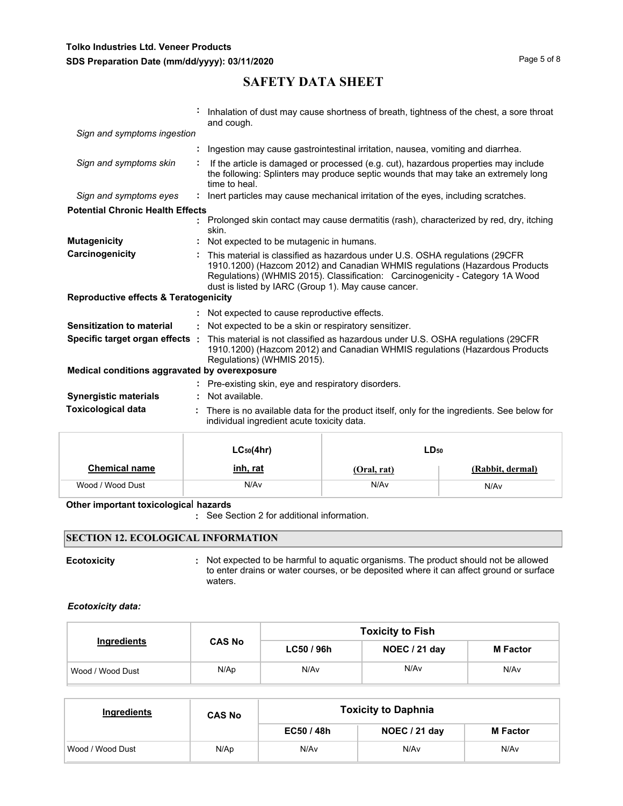|                                                  |    | Inhalation of dust may cause shortness of breath, tightness of the chest, a sore throat<br>and cough.                                                                                                                                                                                              |
|--------------------------------------------------|----|----------------------------------------------------------------------------------------------------------------------------------------------------------------------------------------------------------------------------------------------------------------------------------------------------|
| Sign and symptoms ingestion                      |    |                                                                                                                                                                                                                                                                                                    |
|                                                  |    | Ingestion may cause gastrointestinal irritation, nausea, vomiting and diarrhea.                                                                                                                                                                                                                    |
| Sign and symptoms skin                           |    | If the article is damaged or processed (e.g. cut), hazardous properties may include<br>the following: Splinters may produce septic wounds that may take an extremely long<br>time to heal.                                                                                                         |
| Sign and symptoms eyes                           |    | : Inert particles may cause mechanical irritation of the eyes, including scratches.                                                                                                                                                                                                                |
| <b>Potential Chronic Health Effects</b>          |    |                                                                                                                                                                                                                                                                                                    |
|                                                  |    | Prolonged skin contact may cause dermatitis (rash), characterized by red, dry, itching<br>skin.                                                                                                                                                                                                    |
| <b>Mutagenicity</b>                              |    | : Not expected to be mutagenic in humans.                                                                                                                                                                                                                                                          |
| Carcinogenicity                                  |    | This material is classified as hazardous under U.S. OSHA regulations (29CFR<br>1910.1200) (Hazcom 2012) and Canadian WHMIS regulations (Hazardous Products<br>Regulations) (WHMIS 2015). Classification: Carcinogenicity - Category 1A Wood<br>dust is listed by IARC (Group 1). May cause cancer. |
| <b>Reproductive effects &amp; Teratogenicity</b> |    |                                                                                                                                                                                                                                                                                                    |
|                                                  |    | : Not expected to cause reproductive effects.                                                                                                                                                                                                                                                      |
| Sensitization to material                        | ÷. | Not expected to be a skin or respiratory sensitizer.                                                                                                                                                                                                                                               |
| Specific target organ effects :                  |    | This material is not classified as hazardous under U.S. OSHA regulations (29CFR)<br>1910.1200) (Hazcom 2012) and Canadian WHMIS regulations (Hazardous Products<br>Regulations) (WHMIS 2015).                                                                                                      |
| Medical conditions aggravated by overexposure    |    |                                                                                                                                                                                                                                                                                                    |
|                                                  |    | : Pre-existing skin, eye and respiratory disorders.                                                                                                                                                                                                                                                |
| <b>Synergistic materials</b>                     |    | Not available.                                                                                                                                                                                                                                                                                     |
| <b>Toxicological data</b>                        |    | There is no available data for the product itself, only for the ingredients. See below for<br>individual ingredient acute toxicity data.                                                                                                                                                           |
|                                                  |    |                                                                                                                                                                                                                                                                                                    |

|                      | $LC_{50}(4hr)$  | $LD_{50}$<br>(Rabbit, dermal)<br>(Oral, rat) |      |  |
|----------------------|-----------------|----------------------------------------------|------|--|
| <b>Chemical name</b> | <u>inh, rat</u> |                                              |      |  |
| Wood / Wood Dust     | N/Av            | N/Av                                         | N/Av |  |

#### **Other important toxicologica**l **hazards**

**:** See Section 2 for additional information.

## **SECTION 12. ECOLOGICAL INFORMATION**

**Ecotoxicity Example 20 CON**: Not expected to be harmful to aquatic organisms. The product should not be allowed to enter drains or water courses, or be deposited where it can affect ground or surface waters.

#### *Ecotoxicity data:*

|                  |               | <b>Toxicity to Fish</b> |               |                 |  |  |
|------------------|---------------|-------------------------|---------------|-----------------|--|--|
| Ingredients      | <b>CAS No</b> | LC50 / 96h              | NOEC / 21 day | <b>M</b> Factor |  |  |
| Wood / Wood Dust | N/Ap          | N/Av                    | N/Av          | N/Av            |  |  |

| Ingredients      | <b>CAS No</b> | <b>Toxicity to Daphnia</b> |               |                 |  |
|------------------|---------------|----------------------------|---------------|-----------------|--|
|                  |               | EC50 / 48h                 | NOEC / 21 day | <b>M</b> Factor |  |
| Wood / Wood Dust | N/Ap          | N/Av                       | N/Av          | N/Av            |  |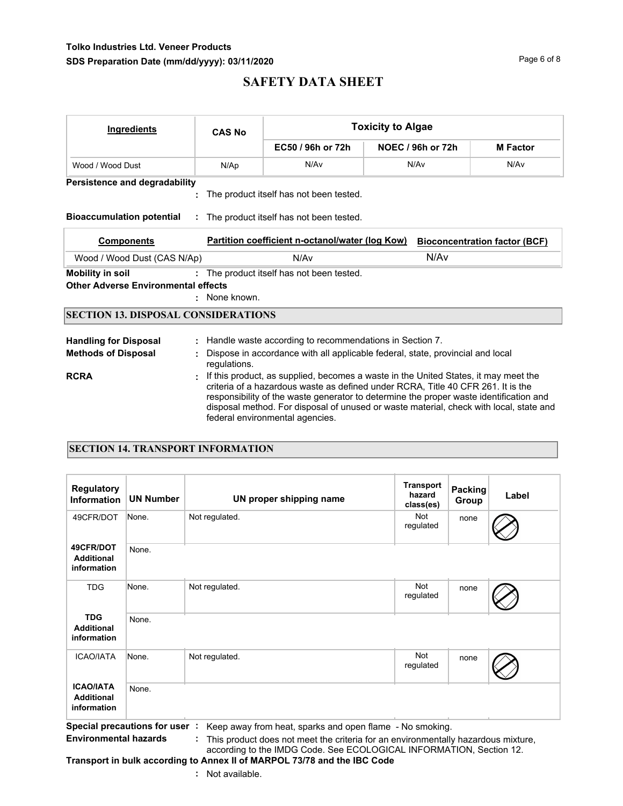## **Tolko Industries Ltd. Veneer Products** SDS Preparation Date (mm/dd/yyyy): 03/11/2020 **Page 6 of 8** Page 6 of 8

# **SAFETY DATA SHEET**

| <b>Ingredients</b>                         | <b>CAS No</b> |                                                                                                                                                                                                                                                                                                                                                                                                | <b>Toxicity to Algae</b> |                 |  |  |  |  |  |
|--------------------------------------------|---------------|------------------------------------------------------------------------------------------------------------------------------------------------------------------------------------------------------------------------------------------------------------------------------------------------------------------------------------------------------------------------------------------------|--------------------------|-----------------|--|--|--|--|--|
|                                            |               | EC50 / 96h or 72h                                                                                                                                                                                                                                                                                                                                                                              | NOEC / 96h or 72h        | <b>M</b> Factor |  |  |  |  |  |
| Wood / Wood Dust                           | N/Ap          | N/Av<br>N/Av<br>N/Av                                                                                                                                                                                                                                                                                                                                                                           |                          |                 |  |  |  |  |  |
| <b>Persistence and degradability</b>       |               |                                                                                                                                                                                                                                                                                                                                                                                                |                          |                 |  |  |  |  |  |
|                                            |               | The product itself has not been tested.                                                                                                                                                                                                                                                                                                                                                        |                          |                 |  |  |  |  |  |
| <b>Bioaccumulation potential</b>           |               | : The product itself has not been tested.                                                                                                                                                                                                                                                                                                                                                      |                          |                 |  |  |  |  |  |
| <b>Components</b>                          |               | Partition coefficient n-octanol/water (log Kow)<br><b>Bioconcentration factor (BCF)</b>                                                                                                                                                                                                                                                                                                        |                          |                 |  |  |  |  |  |
| Wood / Wood Dust (CAS N/Ap)                |               |                                                                                                                                                                                                                                                                                                                                                                                                |                          |                 |  |  |  |  |  |
| <b>Mobility in soil</b>                    |               | : The product itself has not been tested.                                                                                                                                                                                                                                                                                                                                                      |                          |                 |  |  |  |  |  |
| <b>Other Adverse Environmental effects</b> |               |                                                                                                                                                                                                                                                                                                                                                                                                |                          |                 |  |  |  |  |  |
|                                            | : None known. |                                                                                                                                                                                                                                                                                                                                                                                                |                          |                 |  |  |  |  |  |
| <b>SECTION 13. DISPOSAL CONSIDERATIONS</b> |               |                                                                                                                                                                                                                                                                                                                                                                                                |                          |                 |  |  |  |  |  |
| <b>Handling for Disposal</b>               | ÷.            | Handle waste according to recommendations in Section 7.                                                                                                                                                                                                                                                                                                                                        |                          |                 |  |  |  |  |  |
| <b>Methods of Disposal</b>                 | regulations.  | Dispose in accordance with all applicable federal, state, provincial and local                                                                                                                                                                                                                                                                                                                 |                          |                 |  |  |  |  |  |
| <b>RCRA</b>                                |               | If this product, as supplied, becomes a waste in the United States, it may meet the<br>criteria of a hazardous waste as defined under RCRA. Title 40 CFR 261. It is the<br>responsibility of the waste generator to determine the proper waste identification and<br>disposal method. For disposal of unused or waste material, check with local, state and<br>federal environmental agencies. |                          |                 |  |  |  |  |  |

### **SECTION 14. TRANSPORT INFORMATION**

| <b>Regulatory</b><br><b>Information</b>                   | <b>UN Number</b>                                   | UN proper shipping name             | <b>Transport</b><br>hazard<br>class(es) | Packing<br>Group | Label |
|-----------------------------------------------------------|----------------------------------------------------|-------------------------------------|-----------------------------------------|------------------|-------|
| 49CFR/DOT                                                 | None.                                              | Not regulated.                      | Not<br>regulated                        | none             |       |
| 49CFR/DOT<br><b>Additional</b><br>information             | None.                                              |                                     |                                         |                  |       |
| <b>TDG</b>                                                | None.                                              | Not regulated.                      | Not<br>regulated                        | none             |       |
| <b>TDG</b><br><b>Additional</b><br>information            | None.                                              |                                     |                                         |                  |       |
| <b>ICAO/IATA</b>                                          | None.                                              | Not regulated.                      | Not<br>regulated                        | none             |       |
| <b>ICAO/IATA</b><br><b>Additional</b><br>information<br>. | None.<br>$\overline{\phantom{a}}$<br><b>A</b> 10 . | the contract of the contract of the |                                         |                  |       |

**Special precautions for user :** Keep away from heat, sparks and open flame - No smoking. **Environmental hazards :** This product does not meet the criteria for an environmentally hazardous mixture,

according to the IMDG Code. See ECOLOGICAL INFORMATION, Section 12. **Transport in bulk according to Annex II of MARPOL 73/78 and the IBC Code**

**:** Not available.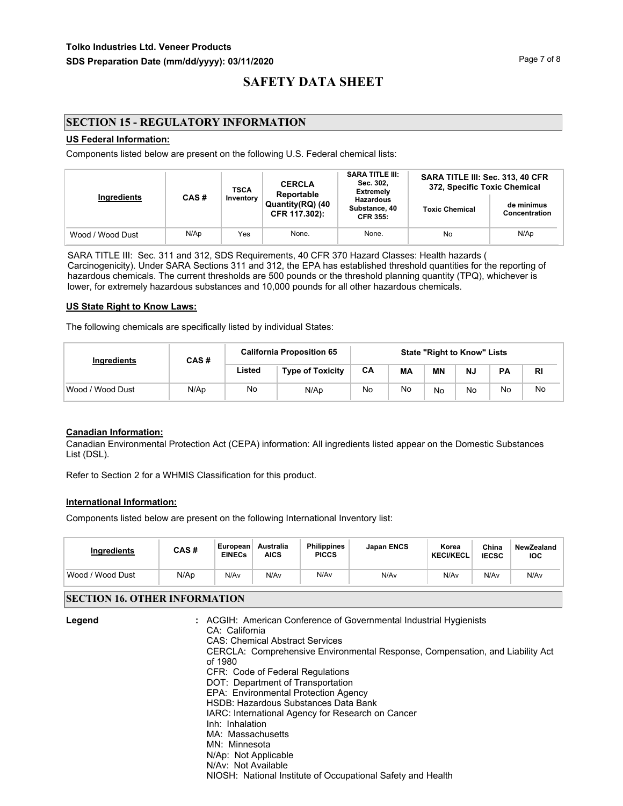## **SECTION 15 - REGULATORY INFORMATION**

#### **US Federal Information:**

Components listed below are present on the following U.S. Federal chemical lists:

|                                  | <b>TSCA</b>                       |                                                      | <b>CERCLA</b><br>Reportable | <b>SARA TITLE III:</b><br>Sec. 302,<br><b>Extremely</b> | SARA TITLE III: Sec. 313, 40 CFR<br>372, Specific Toxic Chemical |      |  |
|----------------------------------|-----------------------------------|------------------------------------------------------|-----------------------------|---------------------------------------------------------|------------------------------------------------------------------|------|--|
| Ingredients<br>CAS#<br>Inventory | Quantity(RQ) (40<br>CFR 117.302): | <b>Hazardous</b><br>Substance, 40<br><b>CFR 355:</b> | <b>Toxic Chemical</b>       | de minimus<br>Concentration                             |                                                                  |      |  |
| Wood / Wood Dust                 | N/Ap                              | Yes                                                  | None.                       | None.                                                   | No                                                               | N/Ap |  |

SARA TITLE III: Sec. 311 and 312, SDS Requirements, 40 CFR 370 Hazard Classes: Health hazards ( Carcinogenicity). Under SARA Sections 311 and 312, the EPA has established threshold quantities for the reporting of hazardous chemicals. The current thresholds are 500 pounds or the threshold planning quantity (TPQ), whichever is lower, for extremely hazardous substances and 10,000 pounds for all other hazardous chemicals.

#### **US State Right to Know Laws:**

The following chemicals are specifically listed by individual States:

| Ingredients      | CAS# | <b>California Proposition 65</b> |                         | <b>State "Right to Know" Lists</b> |    |           |    |           |           |
|------------------|------|----------------------------------|-------------------------|------------------------------------|----|-----------|----|-----------|-----------|
|                  |      | Listed                           | <b>Type of Toxicity</b> | CA                                 | MА | <b>MN</b> | N. | <b>PA</b> | <b>RI</b> |
| Wood / Wood Dust | N/Ap | No                               | N/Ap                    | No                                 | No | No        | No | No        | No        |

## **Canadian Information:**

Canadian Environmental Protection Act (CEPA) information: All ingredients listed appear on the Domestic Substances List (DSL).

Refer to Section 2 for a WHMIS Classification for this product.

#### **International Information:**

Components listed below are present on the following International Inventory list:

| <b>Ingredients</b>  | CAS# | European<br><b>EINECs</b> | Australia<br><b>AICS</b> | <b>Philippines</b><br><b>PICCS</b> | <b>Japan ENCS</b> | Korea<br><b>KECI/KECL</b> | China<br><b>IECSC</b> | NewZealand<br><b>IOC</b> |
|---------------------|------|---------------------------|--------------------------|------------------------------------|-------------------|---------------------------|-----------------------|--------------------------|
| Wood /<br>Wood Dust | N/Ap | N/Av                      | N/Av                     | N/Av                               | N/A <sub>v</sub>  | N/Av                      | N/Av                  | N/Av                     |

### **SECTION 16. OTHER INFORMATION**

| Legend | : ACGIH: American Conference of Governmental Industrial Hygienists            |
|--------|-------------------------------------------------------------------------------|
|        | CA: California                                                                |
|        | <b>CAS: Chemical Abstract Services</b>                                        |
|        | CERCLA: Comprehensive Environmental Response, Compensation, and Liability Act |
|        | of 1980                                                                       |
|        | CFR: Code of Federal Regulations                                              |
|        | DOT: Department of Transportation                                             |
|        | EPA: Environmental Protection Agency                                          |
|        | HSDB: Hazardous Substances Data Bank                                          |
|        | IARC: International Agency for Research on Cancer                             |
|        | Inh: Inhalation                                                               |
|        | MA: Massachusetts                                                             |
|        | MN: Minnesota                                                                 |
|        | N/Ap: Not Applicable                                                          |
|        | N/Av: Not Available                                                           |
|        | NIOSH: National Institute of Occupational Safety and Health                   |